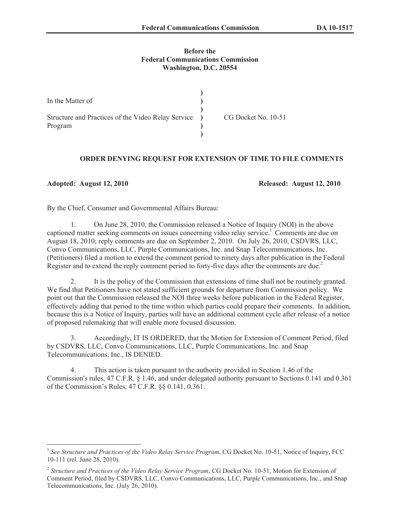## **Before the Federal Communications Commission Washington, D.C. 20554**

| In the Matter of                                                |                     |
|-----------------------------------------------------------------|---------------------|
| Structure and Practices of the Video Relay Service )<br>Program | CG Docket No. 10-51 |

## **ORDER DENYING REQUEST FOR EXTENSION OF TIME TO FILE COMMENTS**

**Adopted: August 12, 2010 Released: August 12, 2010**

By the Chief, Consumer and Governmental Affairs Bureau:

1. On June 28, 2010, the Commission released a Notice of Inquiry (NOI) in the above captioned matter seeking comments on issues concerning video relay service.<sup>1</sup> Comments are due on August 18, 2010; reply comments are due on September 2, 2010. On July 26, 2010, CSDVRS, LLC, Convo Communications, LLC, Purple Communications, Inc. and Snap Telecommunications, Inc. (Petitioners) filed a motion to extend the comment period to ninety days after publication in the Federal Register and to extend the reply comment period to forty-five days after the comments are due.<sup>2</sup>

2. It is the policy of the Commission that extensions of time shall not be routinely granted. We find that Petitioners have not stated sufficient grounds for departure from Commission policy. We point out that the Commission released the NOI three weeks before publication in the Federal Register, effectively adding that period to the time within which parties could prepare their comments. In addition, because this is a Notice of Inquiry, parties will have an additional comment cycle after release of a notice of proposed rulemaking that will enable more focused discussion.

3. Accordingly, IT IS ORDERED, that the Motion for Extension of Comment Period, filed by CSDVRS, LLC, Convo Communications, LLC, Purple Communications, Inc. and Snap Telecommunications, Inc., IS DENIED.

4. This action is taken pursuant to the authority provided in Section 1.46 of the Commission's rules, 47 C.F.R. § 1.46, and under delegated authority pursuant to Sections 0.141 and 0.361 of the Commission's Rules, 47 C.F.R. §§ 0.141, 0.361.

<sup>&</sup>lt;sup>1</sup> See Structure and Practices of the Video Relay Service Program, CG Docket No. 10-51, Notice of Inquiry, FCC 10-111 (rel. June 28, 2010).

<sup>2</sup> *Structure and Practices of the Video Relay Service Program*, CG Docket No. 10-51, Motion for Extension of Comment Period, filed by CSDVRS, LLC, Convo Communications, LLC, Purple Communications, Inc., and Snap Telecommunications, Inc. (July 26, 2010).